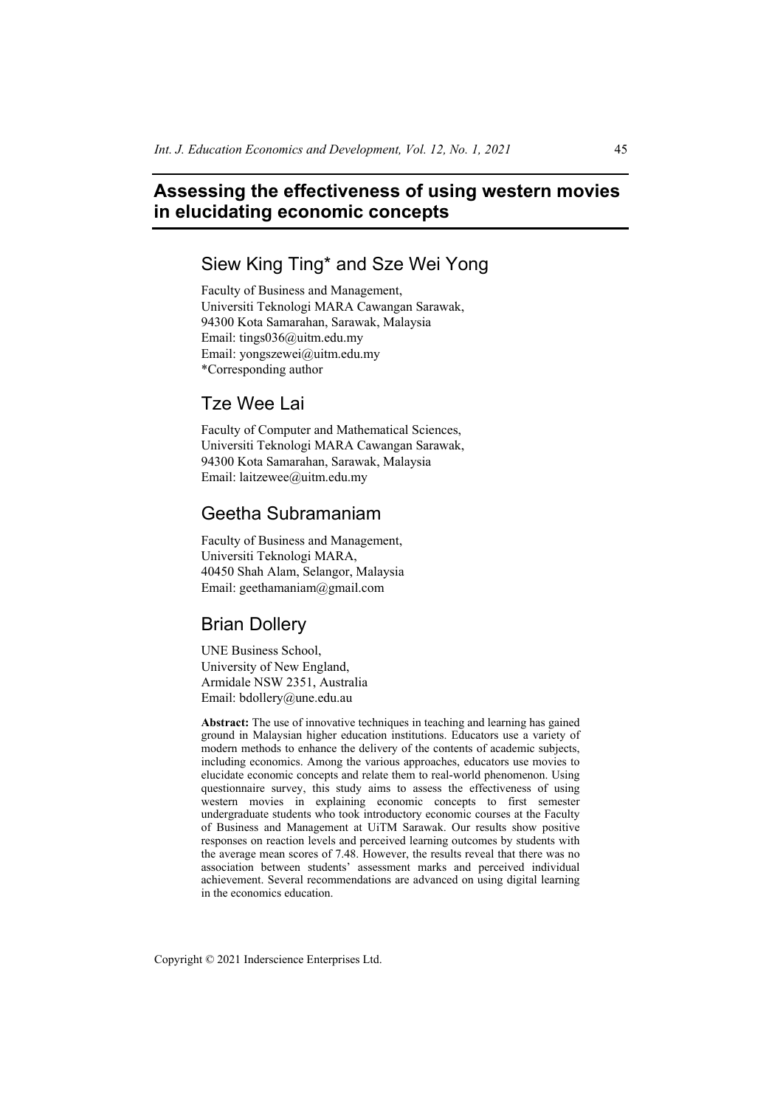# **Assessing the effectiveness of using western movies in elucidating economic concepts**

# Siew King Ting\* and Sze Wei Yong

Faculty of Business and Management, Universiti Teknologi MARA Cawangan Sarawak, 94300 Kota Samarahan, Sarawak, Malaysia Email: tings036@uitm.edu.my Email: yongszewei@uitm.edu.my \*Corresponding author

# Tze Wee Lai

Faculty of Computer and Mathematical Sciences, Universiti Teknologi MARA Cawangan Sarawak, 94300 Kota Samarahan, Sarawak, Malaysia Email: laitzewee@uitm.edu.my

# Geetha Subramaniam

Faculty of Business and Management, Universiti Teknologi MARA, 40450 Shah Alam, Selangor, Malaysia Email: geethamaniam@gmail.com

# Brian Dollery

UNE Business School, University of New England, Armidale NSW 2351, Australia Email: bdollery@une.edu.au

**Abstract:** The use of innovative techniques in teaching and learning has gained ground in Malaysian higher education institutions. Educators use a variety of modern methods to enhance the delivery of the contents of academic subjects, including economics. Among the various approaches, educators use movies to elucidate economic concepts and relate them to real-world phenomenon. Using questionnaire survey, this study aims to assess the effectiveness of using western movies in explaining economic concepts to first semester undergraduate students who took introductory economic courses at the Faculty of Business and Management at UiTM Sarawak. Our results show positive responses on reaction levels and perceived learning outcomes by students with the average mean scores of 7.48. However, the results reveal that there was no association between students' assessment marks and perceived individual achievement. Several recommendations are advanced on using digital learning in the economics education.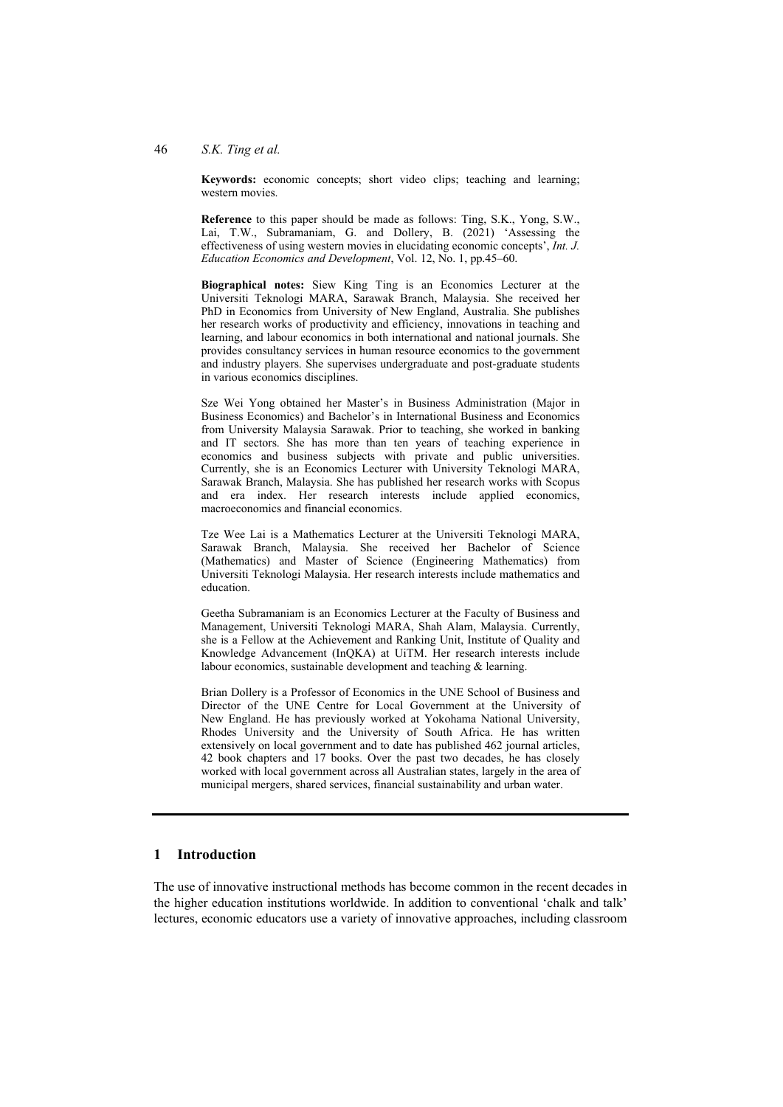#### 46 *S.K. Ting et al.*

**Keywords:** economic concepts; short video clips; teaching and learning; western movies.

**Reference** to this paper should be made as follows: Ting, S.K., Yong, S.W., Lai, T.W., Subramaniam, G. and Dollery, B. (2021) 'Assessing the effectiveness of using western movies in elucidating economic concepts', *Int. J. Education Economics and Development*, Vol. 12, No. 1, pp.45–60.

**Biographical notes:** Siew King Ting is an Economics Lecturer at the Universiti Teknologi MARA, Sarawak Branch, Malaysia. She received her PhD in Economics from University of New England, Australia. She publishes her research works of productivity and efficiency, innovations in teaching and learning, and labour economics in both international and national journals. She provides consultancy services in human resource economics to the government and industry players. She supervises undergraduate and post-graduate students in various economics disciplines.

Sze Wei Yong obtained her Master's in Business Administration (Major in Business Economics) and Bachelor's in International Business and Economics from University Malaysia Sarawak. Prior to teaching, she worked in banking and IT sectors. She has more than ten years of teaching experience in economics and business subjects with private and public universities. Currently, she is an Economics Lecturer with University Teknologi MARA, Sarawak Branch, Malaysia. She has published her research works with Scopus and era index. Her research interests include applied economics, macroeconomics and financial economics.

Tze Wee Lai is a Mathematics Lecturer at the Universiti Teknologi MARA, Sarawak Branch, Malaysia. She received her Bachelor of Science (Mathematics) and Master of Science (Engineering Mathematics) from Universiti Teknologi Malaysia. Her research interests include mathematics and education.

Geetha Subramaniam is an Economics Lecturer at the Faculty of Business and Management, Universiti Teknologi MARA, Shah Alam, Malaysia. Currently, she is a Fellow at the Achievement and Ranking Unit, Institute of Quality and Knowledge Advancement (InQKA) at UiTM. Her research interests include labour economics, sustainable development and teaching & learning.

Brian Dollery is a Professor of Economics in the UNE School of Business and Director of the UNE Centre for Local Government at the University of New England. He has previously worked at Yokohama National University, Rhodes University and the University of South Africa. He has written extensively on local government and to date has published 462 journal articles, 42 book chapters and 17 books. Over the past two decades, he has closely worked with local government across all Australian states, largely in the area of municipal mergers, shared services, financial sustainability and urban water.

## **1 Introduction**

The use of innovative instructional methods has become common in the recent decades in the higher education institutions worldwide. In addition to conventional 'chalk and talk' lectures, economic educators use a variety of innovative approaches, including classroom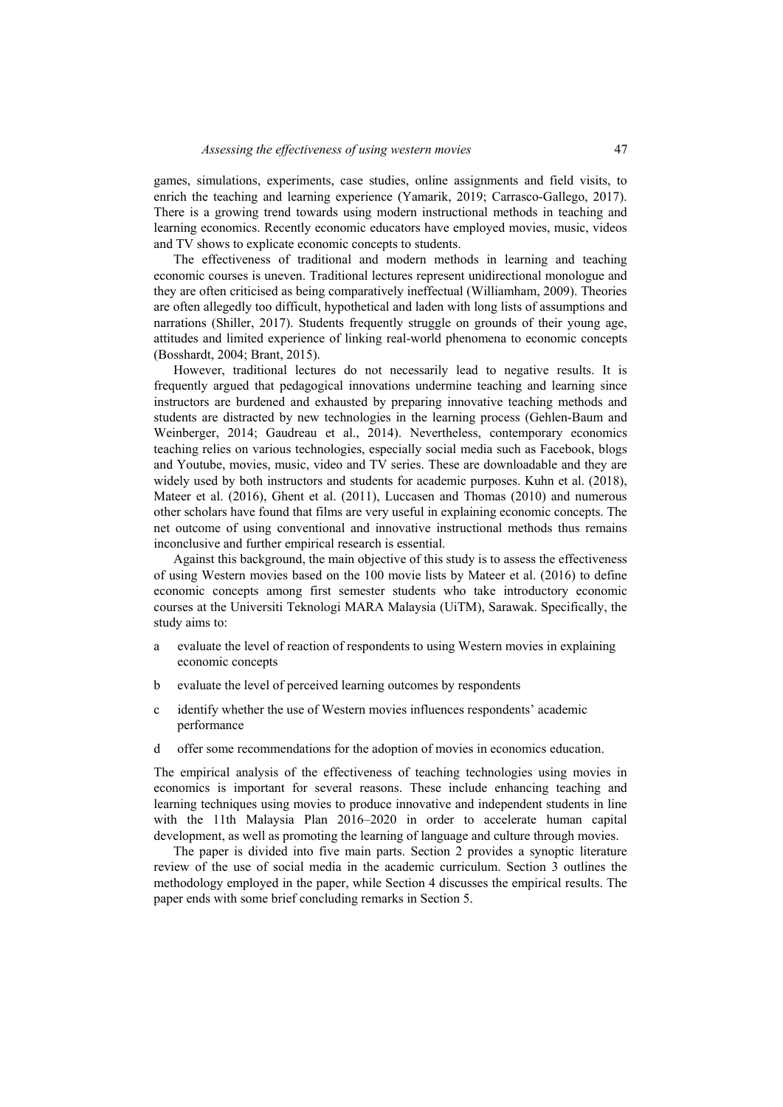games, simulations, experiments, case studies, online assignments and field visits, to enrich the teaching and learning experience (Yamarik, 2019; Carrasco-Gallego, 2017). There is a growing trend towards using modern instructional methods in teaching and learning economics. Recently economic educators have employed movies, music, videos and TV shows to explicate economic concepts to students.

The effectiveness of traditional and modern methods in learning and teaching economic courses is uneven. Traditional lectures represent unidirectional monologue and they are often criticised as being comparatively ineffectual (Williamham, 2009). Theories are often allegedly too difficult, hypothetical and laden with long lists of assumptions and narrations (Shiller, 2017). Students frequently struggle on grounds of their young age, attitudes and limited experience of linking real-world phenomena to economic concepts (Bosshardt, 2004; Brant, 2015).

However, traditional lectures do not necessarily lead to negative results. It is frequently argued that pedagogical innovations undermine teaching and learning since instructors are burdened and exhausted by preparing innovative teaching methods and students are distracted by new technologies in the learning process (Gehlen-Baum and Weinberger, 2014; Gaudreau et al., 2014). Nevertheless, contemporary economics teaching relies on various technologies, especially social media such as Facebook, blogs and Youtube, movies, music, video and TV series. These are downloadable and they are widely used by both instructors and students for academic purposes. Kuhn et al. (2018), Mateer et al. (2016), Ghent et al. (2011), Luccasen and Thomas (2010) and numerous other scholars have found that films are very useful in explaining economic concepts. The net outcome of using conventional and innovative instructional methods thus remains inconclusive and further empirical research is essential.

Against this background, the main objective of this study is to assess the effectiveness of using Western movies based on the 100 movie lists by Mateer et al. (2016) to define economic concepts among first semester students who take introductory economic courses at the Universiti Teknologi MARA Malaysia (UiTM), Sarawak. Specifically, the study aims to:

- a evaluate the level of reaction of respondents to using Western movies in explaining economic concepts
- b evaluate the level of perceived learning outcomes by respondents
- c identify whether the use of Western movies influences respondents' academic performance
- d offer some recommendations for the adoption of movies in economics education.

The empirical analysis of the effectiveness of teaching technologies using movies in economics is important for several reasons. These include enhancing teaching and learning techniques using movies to produce innovative and independent students in line with the 11th Malaysia Plan 2016–2020 in order to accelerate human capital development, as well as promoting the learning of language and culture through movies.

The paper is divided into five main parts. Section 2 provides a synoptic literature review of the use of social media in the academic curriculum. Section 3 outlines the methodology employed in the paper, while Section 4 discusses the empirical results. The paper ends with some brief concluding remarks in Section 5.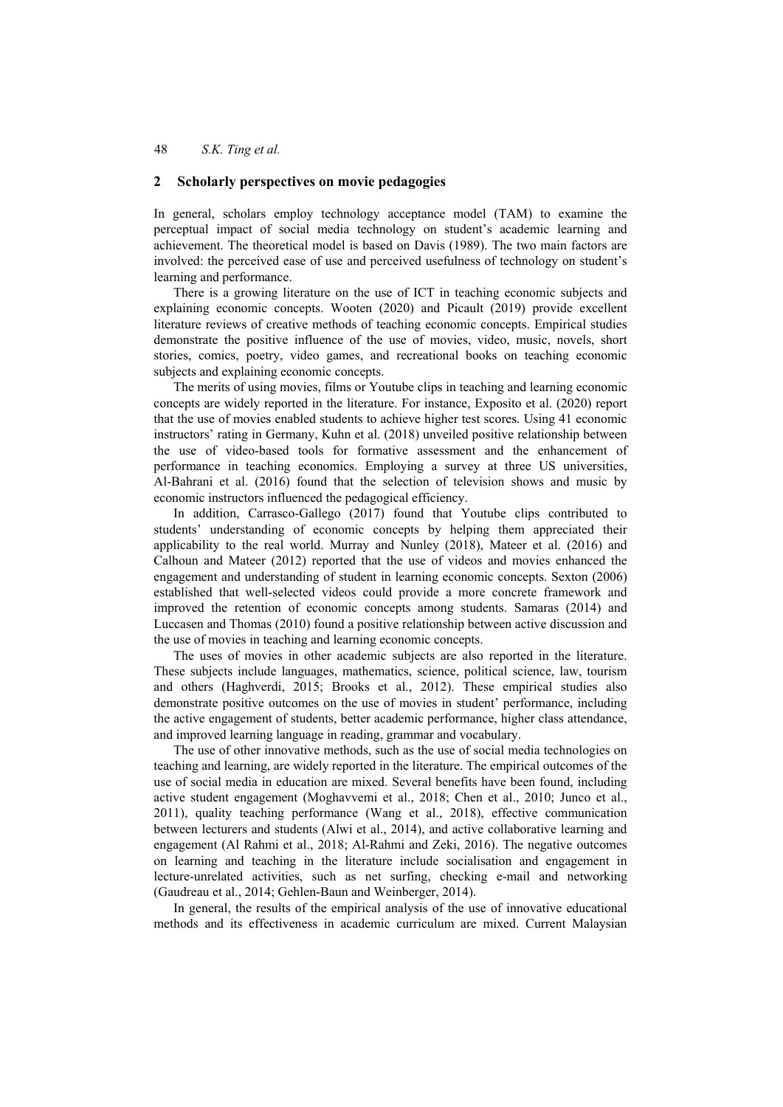#### **2 Scholarly perspectives on movie pedagogies**

In general, scholars employ technology acceptance model (TAM) to examine the perceptual impact of social media technology on student's academic learning and achievement. The theoretical model is based on Davis (1989). The two main factors are involved: the perceived ease of use and perceived usefulness of technology on student's learning and performance.

There is a growing literature on the use of ICT in teaching economic subjects and explaining economic concepts. Wooten (2020) and Picault (2019) provide excellent literature reviews of creative methods of teaching economic concepts. Empirical studies demonstrate the positive influence of the use of movies, video, music, novels, short stories, comics, poetry, video games, and recreational books on teaching economic subjects and explaining economic concepts.

The merits of using movies, films or Youtube clips in teaching and learning economic concepts are widely reported in the literature. For instance, Exposito et al. (2020) report that the use of movies enabled students to achieve higher test scores. Using 41 economic instructors' rating in Germany, Kuhn et al. (2018) unveiled positive relationship between the use of video-based tools for formative assessment and the enhancement of performance in teaching economics. Employing a survey at three US universities, Al-Bahrani et al. (2016) found that the selection of television shows and music by economic instructors influenced the pedagogical efficiency.

In addition, Carrasco-Gallego (2017) found that Youtube clips contributed to students' understanding of economic concepts by helping them appreciated their applicability to the real world. Murray and Nunley (2018), Mateer et al. (2016) and Calhoun and Mateer (2012) reported that the use of videos and movies enhanced the engagement and understanding of student in learning economic concepts. Sexton (2006) established that well-selected videos could provide a more concrete framework and improved the retention of economic concepts among students. Samaras (2014) and Luccasen and Thomas (2010) found a positive relationship between active discussion and the use of movies in teaching and learning economic concepts.

The uses of movies in other academic subjects are also reported in the literature. These subjects include languages, mathematics, science, political science, law, tourism and others (Haghverdi, 2015; Brooks et al., 2012). These empirical studies also demonstrate positive outcomes on the use of movies in student' performance, including the active engagement of students, better academic performance, higher class attendance, and improved learning language in reading, grammar and vocabulary.

The use of other innovative methods, such as the use of social media technologies on teaching and learning, are widely reported in the literature. The empirical outcomes of the use of social media in education are mixed. Several benefits have been found, including active student engagement (Moghavvemi et al., 2018; Chen et al., 2010; Junco et al., 2011), quality teaching performance (Wang et al., 2018), effective communication between lecturers and students (Alwi et al., 2014), and active collaborative learning and engagement (Al Rahmi et al., 2018; Al-Rahmi and Zeki, 2016). The negative outcomes on learning and teaching in the literature include socialisation and engagement in lecture-unrelated activities, such as net surfing, checking e-mail and networking (Gaudreau et al., 2014; Gehlen-Baun and Weinberger, 2014).

In general, the results of the empirical analysis of the use of innovative educational methods and its effectiveness in academic curriculum are mixed. Current Malaysian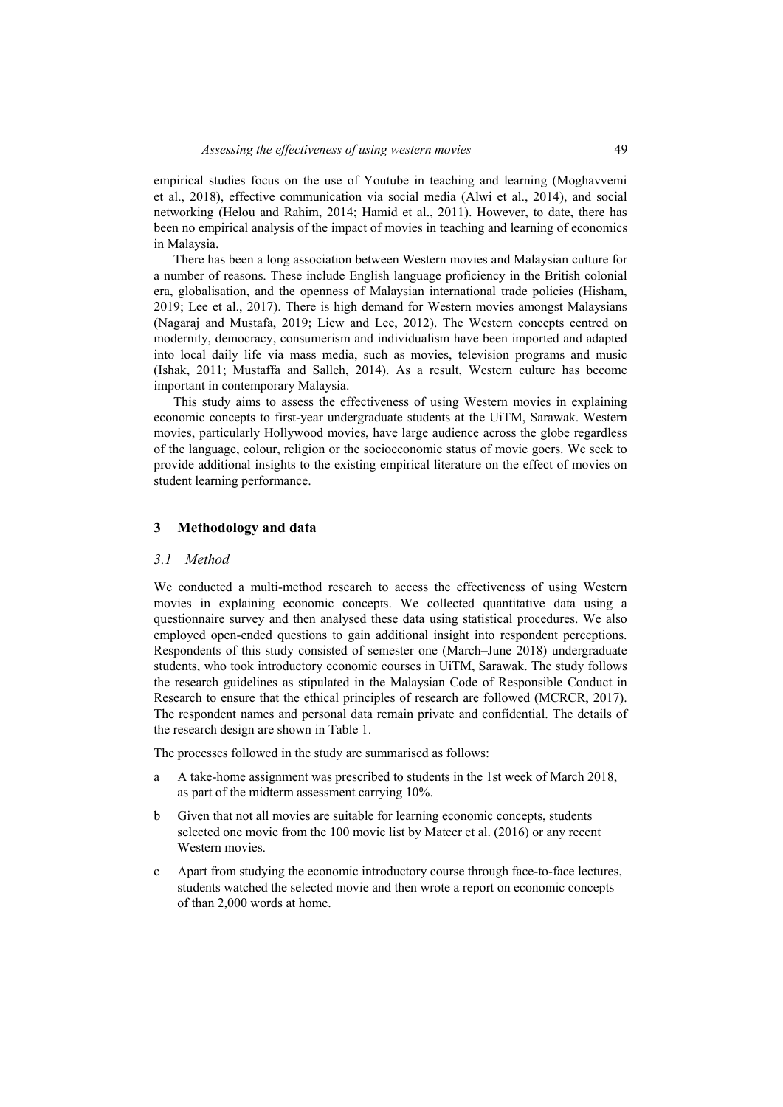empirical studies focus on the use of Youtube in teaching and learning (Moghavvemi et al., 2018), effective communication via social media (Alwi et al., 2014), and social networking (Helou and Rahim, 2014; Hamid et al., 2011). However, to date, there has been no empirical analysis of the impact of movies in teaching and learning of economics in Malaysia.

There has been a long association between Western movies and Malaysian culture for a number of reasons. These include English language proficiency in the British colonial era, globalisation, and the openness of Malaysian international trade policies (Hisham, 2019; Lee et al., 2017). There is high demand for Western movies amongst Malaysians (Nagaraj and Mustafa, 2019; Liew and Lee, 2012). The Western concepts centred on modernity, democracy, consumerism and individualism have been imported and adapted into local daily life via mass media, such as movies, television programs and music (Ishak, 2011; Mustaffa and Salleh, 2014). As a result, Western culture has become important in contemporary Malaysia.

This study aims to assess the effectiveness of using Western movies in explaining economic concepts to first-year undergraduate students at the UiTM, Sarawak. Western movies, particularly Hollywood movies, have large audience across the globe regardless of the language, colour, religion or the socioeconomic status of movie goers. We seek to provide additional insights to the existing empirical literature on the effect of movies on student learning performance.

#### **3 Methodology and data**

#### *3.1 Method*

We conducted a multi-method research to access the effectiveness of using Western movies in explaining economic concepts. We collected quantitative data using a questionnaire survey and then analysed these data using statistical procedures. We also employed open-ended questions to gain additional insight into respondent perceptions. Respondents of this study consisted of semester one (March–June 2018) undergraduate students, who took introductory economic courses in UiTM, Sarawak. The study follows the research guidelines as stipulated in the Malaysian Code of Responsible Conduct in Research to ensure that the ethical principles of research are followed (MCRCR, 2017). The respondent names and personal data remain private and confidential. The details of the research design are shown in Table 1.

The processes followed in the study are summarised as follows:

- a A take-home assignment was prescribed to students in the 1st week of March 2018, as part of the midterm assessment carrying 10%.
- b Given that not all movies are suitable for learning economic concepts, students selected one movie from the 100 movie list by Mateer et al. (2016) or any recent Western movies.
- c Apart from studying the economic introductory course through face-to-face lectures, students watched the selected movie and then wrote a report on economic concepts of than 2,000 words at home.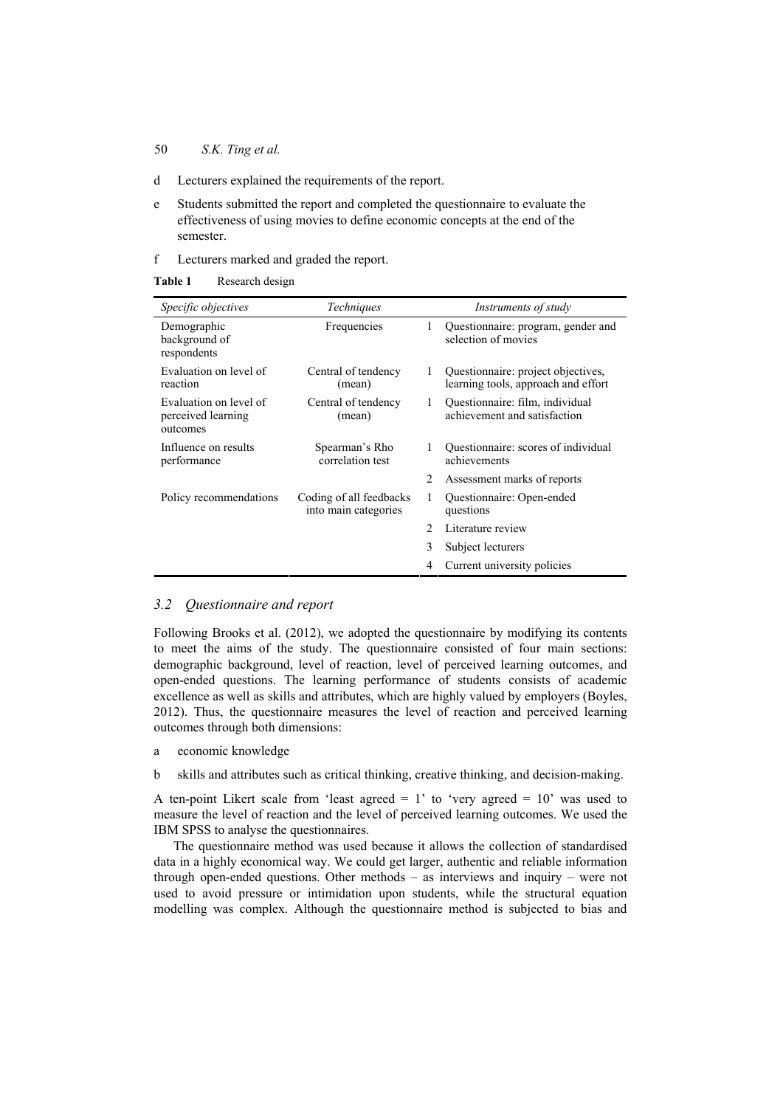### 50 *S.K. Ting et al.*

- d Lecturers explained the requirements of the report.
- e Students submitted the report and completed the questionnaire to evaluate the effectiveness of using movies to define economic concepts at the end of the semester.
- f Lecturers marked and graded the report.

**Table 1** Research design

| <i>Specific objectives</i>                               | Techniques                                      |               | Instruments of study                                                      |
|----------------------------------------------------------|-------------------------------------------------|---------------|---------------------------------------------------------------------------|
| Demographic<br>background of<br>respondents              | Frequencies                                     | 1             | Questionnaire: program, gender and<br>selection of movies                 |
| Evaluation on level of<br>reaction                       | Central of tendency<br>(mean)                   | 1             | Questionnaire: project objectives,<br>learning tools, approach and effort |
| Evaluation on level of<br>perceived learning<br>outcomes | Central of tendency<br>(mean)                   | 1             | Questionnaire: film, individual<br>achievement and satisfaction           |
| Influence on results<br>performance                      | Spearman's Rho<br>correlation test              | 1             | Questionnaire: scores of individual<br>achievements                       |
|                                                          |                                                 | 2             | Assessment marks of reports                                               |
| Policy recommendations                                   | Coding of all feedbacks<br>into main categories | 1             | Questionnaire: Open-ended<br>questions                                    |
|                                                          |                                                 | $\mathcal{D}$ | Literature review                                                         |
|                                                          |                                                 | 3             | Subject lecturers                                                         |
|                                                          |                                                 | 4             | Current university policies                                               |

## *3.2 Questionnaire and report*

Following Brooks et al. (2012), we adopted the questionnaire by modifying its contents to meet the aims of the study. The questionnaire consisted of four main sections: demographic background, level of reaction, level of perceived learning outcomes, and open-ended questions. The learning performance of students consists of academic excellence as well as skills and attributes, which are highly valued by employers (Boyles, 2012). Thus, the questionnaire measures the level of reaction and perceived learning outcomes through both dimensions:

- a economic knowledge
- b skills and attributes such as critical thinking, creative thinking, and decision-making.

A ten-point Likert scale from 'least agreed  $= 1$ ' to 'very agreed  $= 10$ ' was used to measure the level of reaction and the level of perceived learning outcomes. We used the IBM SPSS to analyse the questionnaires.

The questionnaire method was used because it allows the collection of standardised data in a highly economical way. We could get larger, authentic and reliable information through open-ended questions. Other methods – as interviews and inquiry – were not used to avoid pressure or intimidation upon students, while the structural equation modelling was complex. Although the questionnaire method is subjected to bias and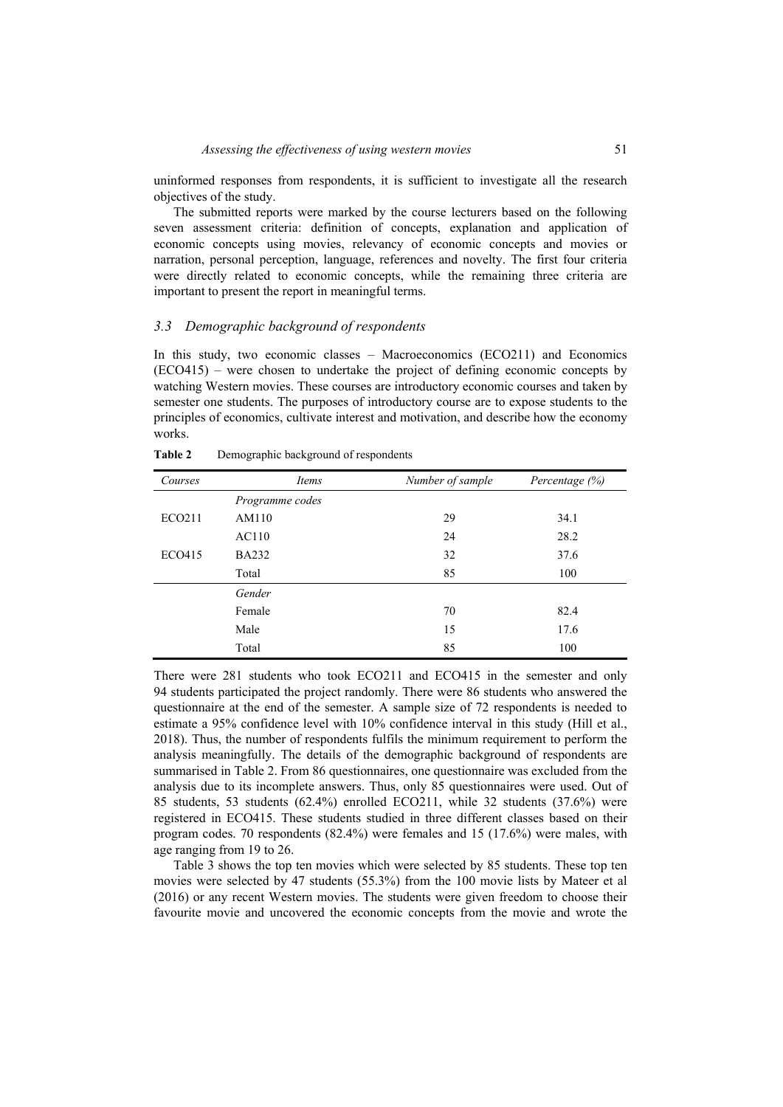uninformed responses from respondents, it is sufficient to investigate all the research objectives of the study.

The submitted reports were marked by the course lecturers based on the following seven assessment criteria: definition of concepts, explanation and application of economic concepts using movies, relevancy of economic concepts and movies or narration, personal perception, language, references and novelty. The first four criteria were directly related to economic concepts, while the remaining three criteria are important to present the report in meaningful terms.

#### *3.3 Demographic background of respondents*

In this study, two economic classes – Macroeconomics (ECO211) and Economics (ECO415) – were chosen to undertake the project of defining economic concepts by watching Western movies. These courses are introductory economic courses and taken by semester one students. The purposes of introductory course are to expose students to the principles of economics, cultivate interest and motivation, and describe how the economy works.

| Courses       | Items           | Number of sample | Percentage $(\%)$ |
|---------------|-----------------|------------------|-------------------|
|               | Programme codes |                  |                   |
| <b>ECO211</b> | AM110           | 29               | 34.1              |
|               | AC110           | 24               | 28.2              |
| ECO415        | <b>BA232</b>    | 32               | 37.6              |
|               | Total           | 85               | 100               |
|               | Gender          |                  |                   |
|               | Female          | 70               | 82.4              |
|               | Male            | 15               | 17.6              |
|               | Total           | 85               | 100               |

**Table 2** Demographic background of respondents

There were 281 students who took ECO211 and ECO415 in the semester and only 94 students participated the project randomly. There were 86 students who answered the questionnaire at the end of the semester. A sample size of 72 respondents is needed to estimate a 95% confidence level with 10% confidence interval in this study (Hill et al., 2018). Thus, the number of respondents fulfils the minimum requirement to perform the analysis meaningfully. The details of the demographic background of respondents are summarised in Table 2. From 86 questionnaires, one questionnaire was excluded from the analysis due to its incomplete answers. Thus, only 85 questionnaires were used. Out of 85 students, 53 students (62.4%) enrolled ECO211, while 32 students (37.6%) were registered in ECO415. These students studied in three different classes based on their program codes. 70 respondents (82.4%) were females and 15 (17.6%) were males, with age ranging from 19 to 26.

Table 3 shows the top ten movies which were selected by 85 students. These top ten movies were selected by 47 students (55.3%) from the 100 movie lists by Mateer et al (2016) or any recent Western movies. The students were given freedom to choose their favourite movie and uncovered the economic concepts from the movie and wrote the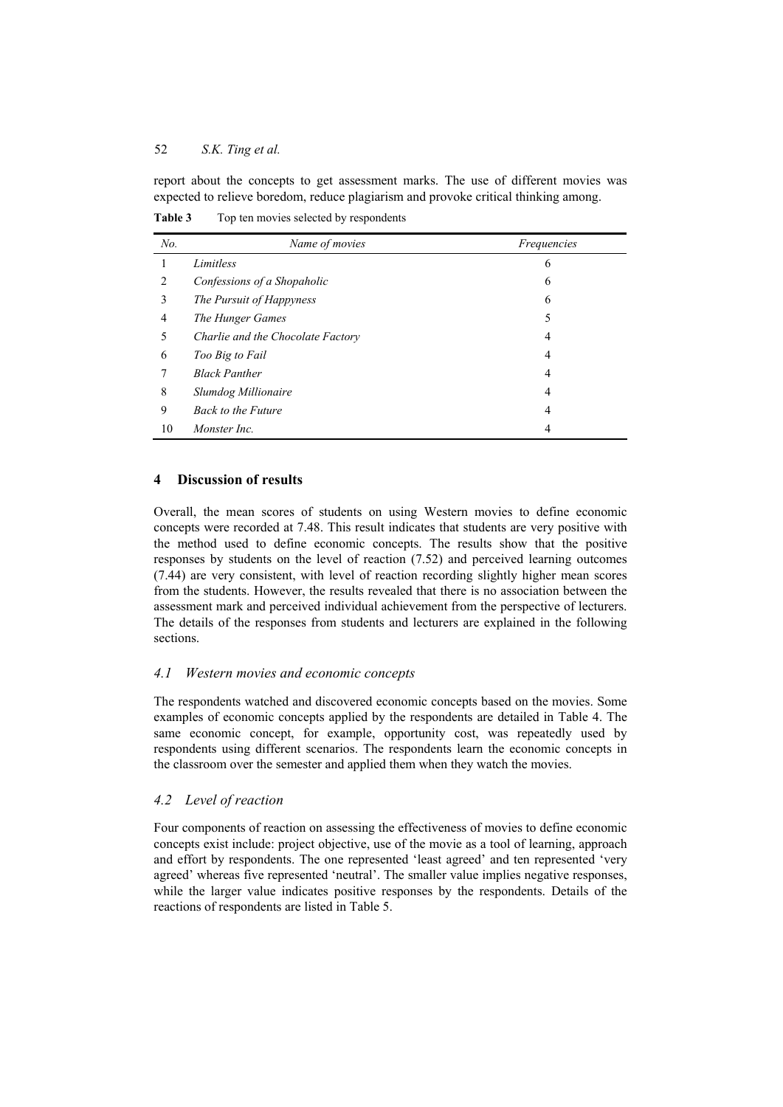report about the concepts to get assessment marks. The use of different movies was expected to relieve boredom, reduce plagiarism and provoke critical thinking among.

| No. | Name of movies                    | Frequencies |
|-----|-----------------------------------|-------------|
|     | Limitless                         | O           |
|     | Confessions of a Shopaholic       | 6           |
|     | The Pursuit of Happyness          | 6           |
| 4   | The Hunger Games                  |             |
|     | Charlie and the Chocolate Factory | 4           |
|     | Too Big to Fail                   |             |

*Black Panther* 4 *Slumdog Millionaire* 4 *Back to the Future* 4 *Monster Inc.* 4

**Table 3** Top ten movies selected by respondents

## **4 Discussion of results**

Overall, the mean scores of students on using Western movies to define economic concepts were recorded at 7.48. This result indicates that students are very positive with the method used to define economic concepts. The results show that the positive responses by students on the level of reaction (7.52) and perceived learning outcomes (7.44) are very consistent, with level of reaction recording slightly higher mean scores from the students. However, the results revealed that there is no association between the assessment mark and perceived individual achievement from the perspective of lecturers. The details of the responses from students and lecturers are explained in the following sections.

## *4.1 Western movies and economic concepts*

The respondents watched and discovered economic concepts based on the movies. Some examples of economic concepts applied by the respondents are detailed in Table 4. The same economic concept, for example, opportunity cost, was repeatedly used by respondents using different scenarios. The respondents learn the economic concepts in the classroom over the semester and applied them when they watch the movies.

## *4.2 Level of reaction*

Four components of reaction on assessing the effectiveness of movies to define economic concepts exist include: project objective, use of the movie as a tool of learning, approach and effort by respondents. The one represented 'least agreed' and ten represented 'very agreed' whereas five represented 'neutral'. The smaller value implies negative responses, while the larger value indicates positive responses by the respondents. Details of the reactions of respondents are listed in Table 5.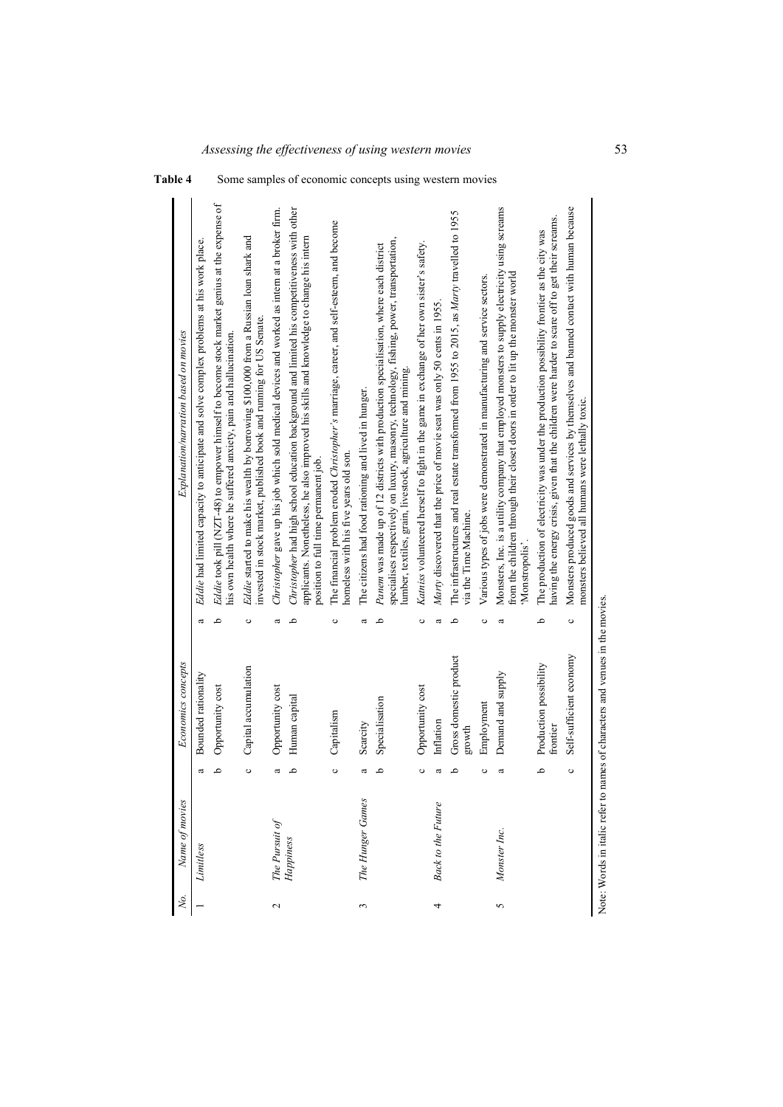| Ņо.                | Name of movies            |         | Economics concepts                 |   | Explanation/narration based on movies                                                                                                                                                                                                            |
|--------------------|---------------------------|---------|------------------------------------|---|--------------------------------------------------------------------------------------------------------------------------------------------------------------------------------------------------------------------------------------------------|
|                    | Limitless                 | a       | Bounded rationality                | ದ | Eddie had limited capacity to anticipate and solve complex problems at his work place.                                                                                                                                                           |
|                    |                           | م       | Opportunity cost                   | م | Eddie took pill (NZT-48) to empower himself to become stock market genius at the expense of<br>his own health where he suffered anxiety, pain and hallucination.                                                                                 |
|                    |                           | $\circ$ | Capital accumulation               | ပ | Eddie started to make his wealth by borrowing \$100,000 from a Russian loan shark and<br>invested in stock market, published book and running for US Senate.                                                                                     |
| $\sim$             | The Pursuit of            | a       | Opportunity cost                   | a | Christopher gave up his job which sold medical devices and worked as intern at a broker firm.                                                                                                                                                    |
|                    | Happiness                 | م       | Human capital                      | ٩ | Christopher had high school education background and limited his competitiveness with other<br>applicants. Nonetheless, he also improved his skills and knowledge to change his intern<br>position to full time permanent job.                   |
|                    |                           | $\circ$ | Capitalism                         | ပ | The financial problem eroded Christopher's marriage, career, and self-esteem, and become<br>nomeless with his five years old son.                                                                                                                |
| 3                  | The Hunger Games          | a       | Scarcity                           | a | The citizens had food rationing and lived in hunger.                                                                                                                                                                                             |
|                    |                           | م       | Specialisation                     | م | specialises respectively on luxury, masonry, technology, fishing, power, transportation,<br>Panem was made up of 12 districts with production specialisation, where each district<br>lumber, textiles, grain, livestock, agriculture and mining. |
|                    |                           | $\circ$ | Opportunity cost                   | ပ | Katniss volunteered herself to fight in the game in exchange of her own sister's safety.                                                                                                                                                         |
| 4                  | <b>Back to the Future</b> | ದ       | Inflation                          | ದ | Marty discovered that the price of movie seat was only 50 cents in 1955.                                                                                                                                                                         |
|                    |                           | م       | Gross domestic product<br>growth   | م | The infrastructures and real estate transformed from 1955 to 2015, as Marty travelled to 1955<br>via the Time Machine.                                                                                                                           |
|                    |                           | ပ       | Employment                         | ပ | Various types of jobs were demonstrated in manufacturing and service sectors.                                                                                                                                                                    |
| $\mathbf{\hat{5}}$ | Monster Inc.              | a       | Demand and supply                  | a | Monsters, Inc. is a utility company that employed monsters to supply electricity using screams<br>from the children through their closet doors in order to lit up the monster world<br>Monstropolis'                                             |
|                    |                           | م       | Production possibility<br>frontier | م | having the energy crisis, given that the children were harder to scare off to get their screams.<br>The production of electricity was under the production possibility frontier as the city was                                                  |
|                    |                           | ပ       | Self-sufficient economy            | ပ | Monsters produced goods and services by themselves and banned contact with human because<br>monsters believed all humans were lethally toxic.                                                                                                    |



Table 4 Some samples of economic concepts using western movies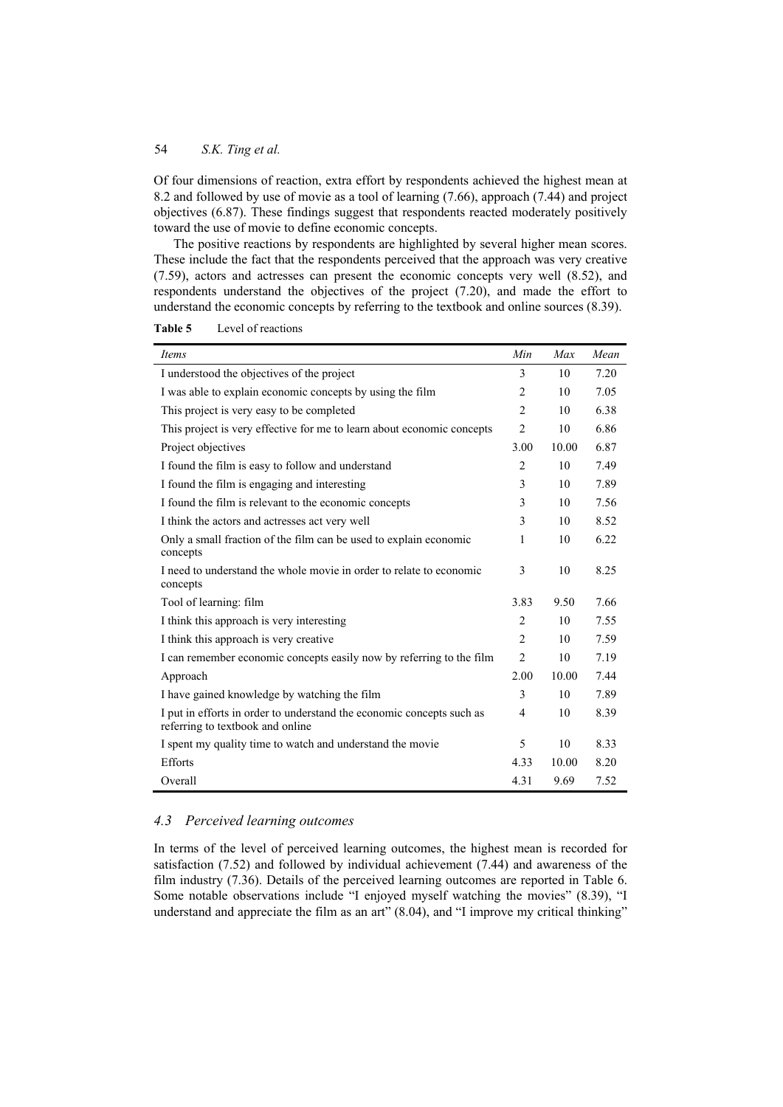Of four dimensions of reaction, extra effort by respondents achieved the highest mean at 8.2 and followed by use of movie as a tool of learning (7.66), approach (7.44) and project objectives (6.87). These findings suggest that respondents reacted moderately positively toward the use of movie to define economic concepts.

The positive reactions by respondents are highlighted by several higher mean scores. These include the fact that the respondents perceived that the approach was very creative (7.59), actors and actresses can present the economic concepts very well (8.52), and respondents understand the objectives of the project (7.20), and made the effort to understand the economic concepts by referring to the textbook and online sources (8.39).

| Items                                                                                                     | Min            | Max   | Mean |
|-----------------------------------------------------------------------------------------------------------|----------------|-------|------|
| I understood the objectives of the project                                                                | 3              | 10    | 7.20 |
| I was able to explain economic concepts by using the film                                                 | $\overline{2}$ | 10    | 7.05 |
| This project is very easy to be completed                                                                 | $\overline{2}$ | 10    | 6.38 |
| This project is very effective for me to learn about economic concepts                                    | $\overline{2}$ | 10    | 6.86 |
| Project objectives                                                                                        | 3.00           | 10.00 | 6.87 |
| I found the film is easy to follow and understand                                                         | $\mathfrak{D}$ | 10    | 7.49 |
| I found the film is engaging and interesting                                                              | 3              | 10    | 7.89 |
| I found the film is relevant to the economic concepts                                                     | 3              | 10    | 7.56 |
| I think the actors and actresses act very well                                                            | 3              | 10    | 8.52 |
| Only a small fraction of the film can be used to explain economic<br>concepts                             | 1              | 10    | 6.22 |
| I need to understand the whole movie in order to relate to economic<br>concepts                           | 3              | 10    | 8.25 |
| Tool of learning: film                                                                                    | 3.83           | 9.50  | 7.66 |
| I think this approach is very interesting                                                                 | $\overline{2}$ | 10    | 7.55 |
| I think this approach is very creative                                                                    | $\overline{c}$ | 10    | 7.59 |
| I can remember economic concepts easily now by referring to the film                                      | $\overline{2}$ | 10    | 7.19 |
| Approach                                                                                                  | 2.00           | 10.00 | 7.44 |
| I have gained knowledge by watching the film                                                              | 3              | 10    | 7.89 |
| I put in efforts in order to understand the economic concepts such as<br>referring to textbook and online | 4              | 10    | 8.39 |
| I spent my quality time to watch and understand the movie                                                 | 5              | 10    | 8.33 |
| <b>Efforts</b>                                                                                            | 4.33           | 10.00 | 8.20 |
| Overall                                                                                                   | 4.31           | 9.69  | 7.52 |

**Table 5** Level of reactions

# *4.3 Perceived learning outcomes*

In terms of the level of perceived learning outcomes, the highest mean is recorded for satisfaction (7.52) and followed by individual achievement (7.44) and awareness of the film industry (7.36). Details of the perceived learning outcomes are reported in Table 6. Some notable observations include "I enjoyed myself watching the movies" (8.39), "I understand and appreciate the film as an art" (8.04), and "I improve my critical thinking"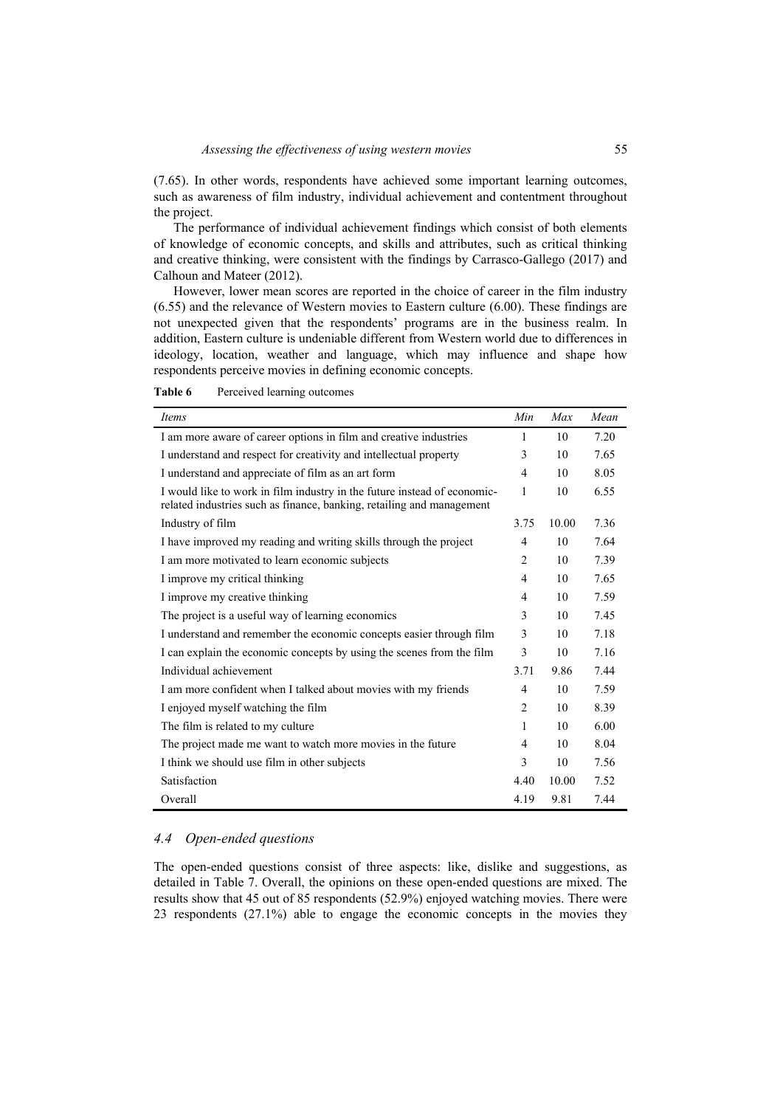(7.65). In other words, respondents have achieved some important learning outcomes, such as awareness of film industry, individual achievement and contentment throughout the project.

The performance of individual achievement findings which consist of both elements of knowledge of economic concepts, and skills and attributes, such as critical thinking and creative thinking, were consistent with the findings by Carrasco-Gallego (2017) and Calhoun and Mateer (2012).

However, lower mean scores are reported in the choice of career in the film industry (6.55) and the relevance of Western movies to Eastern culture (6.00). These findings are not unexpected given that the respondents' programs are in the business realm. In addition, Eastern culture is undeniable different from Western world due to differences in ideology, location, weather and language, which may influence and shape how respondents perceive movies in defining economic concepts.

| $\mathbf{r}$ and $\mathbf{v}$ are $\mathbf{r}$ and $\mathbf{r}$ are $\mathbf{r}$ and $\mathbf{r}$ are $\mathbf{r}$ and $\mathbf{r}$ are $\mathbf{r}$ and $\mathbf{r}$ are $\mathbf{r}$ and $\mathbf{r}$ are $\mathbf{r}$ and $\mathbf{r}$ are $\mathbf{r}$ and $\mathbf{r}$ are $\mathbf{r}$ and |     |     |       |
|--------------------------------------------------------------------------------------------------------------------------------------------------------------------------------------------------------------------------------------------------------------------------------------------------|-----|-----|-------|
| Items                                                                                                                                                                                                                                                                                            | Min | Max | Mean  |
| I am more aware of career options in film and creative industries                                                                                                                                                                                                                                |     | 10  | 7.20  |
| I understand and respect for creativity and intellectual property                                                                                                                                                                                                                                | 3.  | 10  | 7.65  |
| I understand and appreciate of film as an art form                                                                                                                                                                                                                                               | 4   | 10  | 8.05  |
| I would like to work in film inductry in the future instead of economic                                                                                                                                                                                                                          |     |     | 655 K |

**Table 6** Perceived learning outcomes

| I am more aware of career options in film and creative industries                                                                                 | 1    | 10    | 7.20 |
|---------------------------------------------------------------------------------------------------------------------------------------------------|------|-------|------|
| I understand and respect for creativity and intellectual property                                                                                 | 3    | 10    | 7.65 |
| I understand and appreciate of film as an art form                                                                                                | 4    | 10    | 8.05 |
| I would like to work in film industry in the future instead of economic-<br>related industries such as finance, banking, retailing and management | 1    | 10    | 6.55 |
| Industry of film                                                                                                                                  | 3.75 | 10.00 | 7.36 |
| I have improved my reading and writing skills through the project                                                                                 | 4    | 10    | 7.64 |
| I am more motivated to learn economic subjects                                                                                                    | 2    | 10    | 7.39 |
| I improve my critical thinking                                                                                                                    | 4    | 10    | 7.65 |
| I improve my creative thinking                                                                                                                    | 4    | 10    | 7.59 |
| The project is a useful way of learning economics                                                                                                 | 3    | 10    | 7.45 |
| I understand and remember the economic concepts easier through film                                                                               | 3    | 10    | 7.18 |
| I can explain the economic concepts by using the scenes from the film                                                                             | 3    | 10    | 7.16 |
| Individual achievement                                                                                                                            | 3.71 | 9.86  | 7.44 |
| I am more confident when I talked about movies with my friends                                                                                    | 4    | 10    | 7.59 |
| I enjoyed myself watching the film                                                                                                                | 2    | 10    | 8.39 |
| The film is related to my culture                                                                                                                 | 1    | 10    | 6.00 |
| The project made me want to watch more movies in the future                                                                                       | 4    | 10    | 8.04 |
| I think we should use film in other subjects                                                                                                      | 3    | 10    | 7.56 |
| Satisfaction                                                                                                                                      | 4.40 | 10.00 | 7.52 |
| Overall                                                                                                                                           | 4.19 | 9.81  | 7.44 |

### *4.4 Open-ended questions*

The open-ended questions consist of three aspects: like, dislike and suggestions, as detailed in Table 7. Overall, the opinions on these open-ended questions are mixed. The results show that 45 out of 85 respondents (52.9%) enjoyed watching movies. There were 23 respondents (27.1%) able to engage the economic concepts in the movies they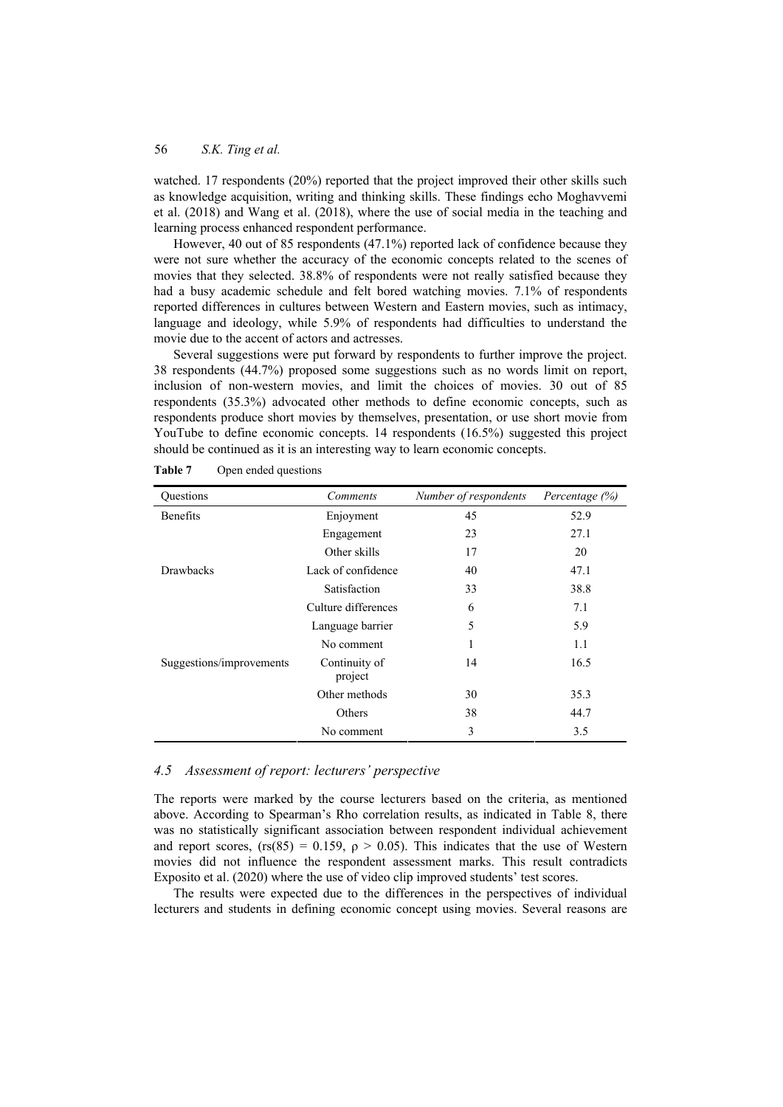watched. 17 respondents (20%) reported that the project improved their other skills such as knowledge acquisition, writing and thinking skills. These findings echo Moghavvemi et al. (2018) and Wang et al. (2018), where the use of social media in the teaching and learning process enhanced respondent performance.

However, 40 out of 85 respondents (47.1%) reported lack of confidence because they were not sure whether the accuracy of the economic concepts related to the scenes of movies that they selected. 38.8% of respondents were not really satisfied because they had a busy academic schedule and felt bored watching movies. 7.1% of respondents reported differences in cultures between Western and Eastern movies, such as intimacy, language and ideology, while 5.9% of respondents had difficulties to understand the movie due to the accent of actors and actresses.

Several suggestions were put forward by respondents to further improve the project. 38 respondents (44.7%) proposed some suggestions such as no words limit on report, inclusion of non-western movies, and limit the choices of movies. 30 out of 85 respondents (35.3%) advocated other methods to define economic concepts, such as respondents produce short movies by themselves, presentation, or use short movie from YouTube to define economic concepts. 14 respondents (16.5%) suggested this project should be continued as it is an interesting way to learn economic concepts.

| Questions                | Comments                 | Number of respondents | Percentage $(\%)$ |
|--------------------------|--------------------------|-----------------------|-------------------|
| <b>Benefits</b>          | Enjoyment                | 45                    | 52.9              |
|                          | Engagement               | 23                    | 27.1              |
|                          | Other skills             | 17                    | 20                |
| <b>Drawbacks</b>         | Lack of confidence       | 40                    | 47.1              |
|                          | Satisfaction             | 33                    | 38.8              |
|                          | Culture differences      | 6                     | 7.1               |
|                          | Language barrier         | 5                     | 5.9               |
|                          | No comment               | 1                     | 1.1               |
| Suggestions/improvements | Continuity of<br>project | 14                    | 16.5              |
|                          | Other methods            | 30                    | 35.3              |
|                          | Others                   | 38                    | 44.7              |
|                          | No comment               | 3                     | 3.5               |

**Table 7** Open ended questions

### *4.5 Assessment of report: lecturers' perspective*

The reports were marked by the course lecturers based on the criteria, as mentioned above. According to Spearman's Rho correlation results, as indicated in Table 8, there was no statistically significant association between respondent individual achievement and report scores, (rs(85) = 0.159,  $\rho > 0.05$ ). This indicates that the use of Western movies did not influence the respondent assessment marks. This result contradicts Exposito et al. (2020) where the use of video clip improved students' test scores.

The results were expected due to the differences in the perspectives of individual lecturers and students in defining economic concept using movies. Several reasons are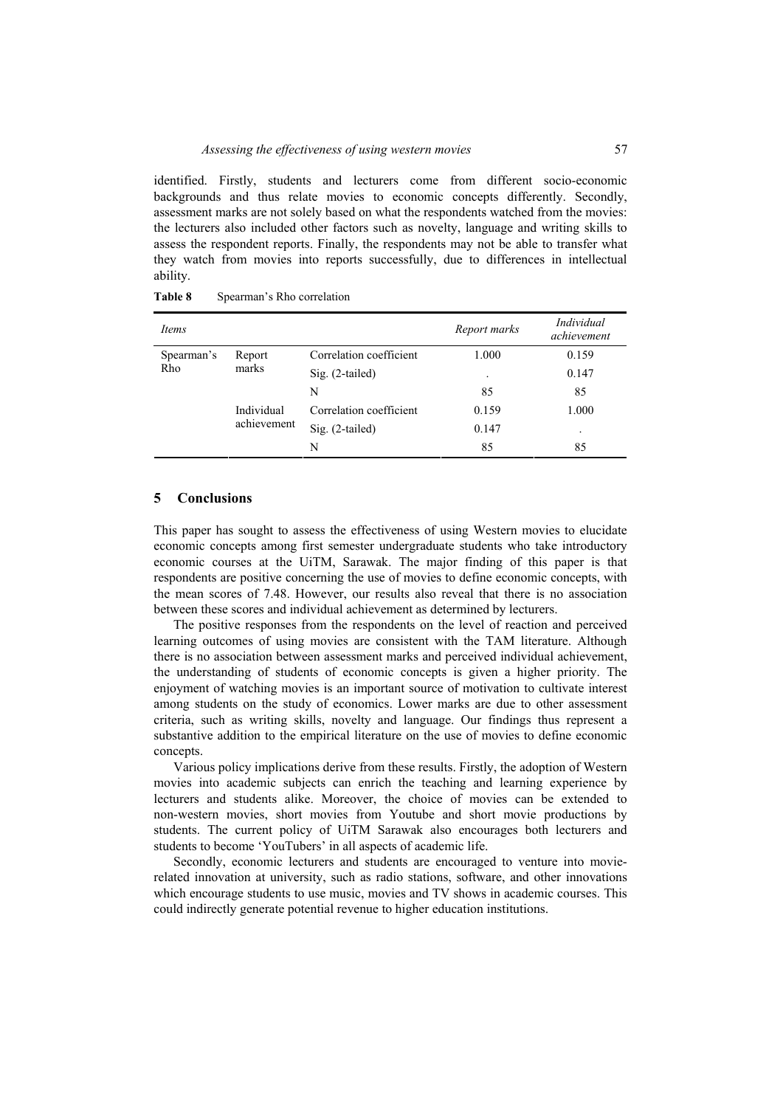identified. Firstly, students and lecturers come from different socio-economic backgrounds and thus relate movies to economic concepts differently. Secondly, assessment marks are not solely based on what the respondents watched from the movies: the lecturers also included other factors such as novelty, language and writing skills to assess the respondent reports. Finally, the respondents may not be able to transfer what they watch from movies into reports successfully, due to differences in intellectual ability.

| <i>Items</i> |             |                         | Report marks | Individual<br>achievement |
|--------------|-------------|-------------------------|--------------|---------------------------|
| Spearman's   | Report      | Correlation coefficient | 1.000        | 0.159                     |
| Rho          | marks       | $Sig. (2-tailed)$       | $\bullet$    | 0.147                     |
|              |             | N                       | 85           | 85                        |
|              | Individual  | Correlation coefficient | 0.159        | 1.000                     |
|              | achievement | Sig. (2-tailed)         | 0.147        | ٠                         |
|              |             | N                       | 85           | 85                        |

#### Table 8 Spearman's Rho correlation

### **5 Conclusions**

This paper has sought to assess the effectiveness of using Western movies to elucidate economic concepts among first semester undergraduate students who take introductory economic courses at the UiTM, Sarawak. The major finding of this paper is that respondents are positive concerning the use of movies to define economic concepts, with the mean scores of 7.48. However, our results also reveal that there is no association between these scores and individual achievement as determined by lecturers.

The positive responses from the respondents on the level of reaction and perceived learning outcomes of using movies are consistent with the TAM literature. Although there is no association between assessment marks and perceived individual achievement, the understanding of students of economic concepts is given a higher priority. The enjoyment of watching movies is an important source of motivation to cultivate interest among students on the study of economics. Lower marks are due to other assessment criteria, such as writing skills, novelty and language. Our findings thus represent a substantive addition to the empirical literature on the use of movies to define economic concepts.

Various policy implications derive from these results. Firstly, the adoption of Western movies into academic subjects can enrich the teaching and learning experience by lecturers and students alike. Moreover, the choice of movies can be extended to non-western movies, short movies from Youtube and short movie productions by students. The current policy of UiTM Sarawak also encourages both lecturers and students to become 'YouTubers' in all aspects of academic life.

Secondly, economic lecturers and students are encouraged to venture into movierelated innovation at university, such as radio stations, software, and other innovations which encourage students to use music, movies and TV shows in academic courses. This could indirectly generate potential revenue to higher education institutions.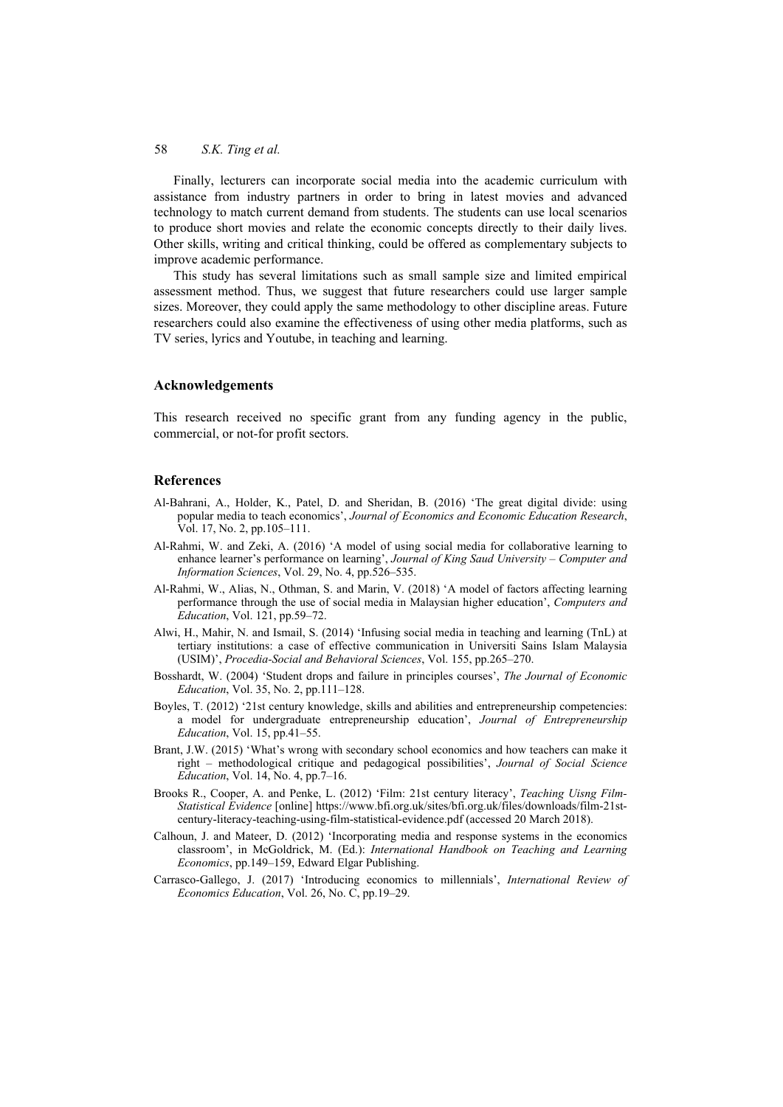Finally, lecturers can incorporate social media into the academic curriculum with assistance from industry partners in order to bring in latest movies and advanced technology to match current demand from students. The students can use local scenarios to produce short movies and relate the economic concepts directly to their daily lives. Other skills, writing and critical thinking, could be offered as complementary subjects to improve academic performance.

This study has several limitations such as small sample size and limited empirical assessment method. Thus, we suggest that future researchers could use larger sample sizes. Moreover, they could apply the same methodology to other discipline areas. Future researchers could also examine the effectiveness of using other media platforms, such as TV series, lyrics and Youtube, in teaching and learning.

#### **Acknowledgements**

This research received no specific grant from any funding agency in the public, commercial, or not-for profit sectors.

#### **References**

- Al-Bahrani, A., Holder, K., Patel, D. and Sheridan, B. (2016) 'The great digital divide: using popular media to teach economics', *Journal of Economics and Economic Education Research*, Vol. 17, No. 2, pp.105–111.
- Al-Rahmi, W. and Zeki, A. (2016) 'A model of using social media for collaborative learning to enhance learner's performance on learning', *Journal of King Saud University – Computer and Information Sciences*, Vol. 29, No. 4, pp.526–535.
- Al-Rahmi, W., Alias, N., Othman, S. and Marin, V. (2018) 'A model of factors affecting learning performance through the use of social media in Malaysian higher education', *Computers and Education*, Vol. 121, pp.59–72.
- Alwi, H., Mahir, N. and Ismail, S. (2014) 'Infusing social media in teaching and learning (TnL) at tertiary institutions: a case of effective communication in Universiti Sains Islam Malaysia (USIM)', *Procedia-Social and Behavioral Sciences*, Vol. 155, pp.265–270.
- Bosshardt, W. (2004) 'Student drops and failure in principles courses', *The Journal of Economic Education*, Vol. 35, No. 2, pp.111–128.
- Boyles, T. (2012) '21st century knowledge, skills and abilities and entrepreneurship competencies: a model for undergraduate entrepreneurship education', *Journal of Entrepreneurship Education*, Vol. 15, pp.41–55.
- Brant, J.W. (2015) 'What's wrong with secondary school economics and how teachers can make it right – methodological critique and pedagogical possibilities', *Journal of Social Science Education*, Vol. 14, No. 4, pp.7–16.
- Brooks R., Cooper, A. and Penke, L. (2012) 'Film: 21st century literacy', *Teaching Uisng Film-Statistical Evidence* [online] https://www.bfi.org.uk/sites/bfi.org.uk/files/downloads/film-21stcentury-literacy-teaching-using-film-statistical-evidence.pdf (accessed 20 March 2018).
- Calhoun, J. and Mateer, D. (2012) 'Incorporating media and response systems in the economics classroom', in McGoldrick, M. (Ed.): *International Handbook on Teaching and Learning Economics*, pp.149–159, Edward Elgar Publishing.
- Carrasco-Gallego, J. (2017) 'Introducing economics to millennials', *International Review of Economics Education*, Vol. 26, No. C, pp.19–29.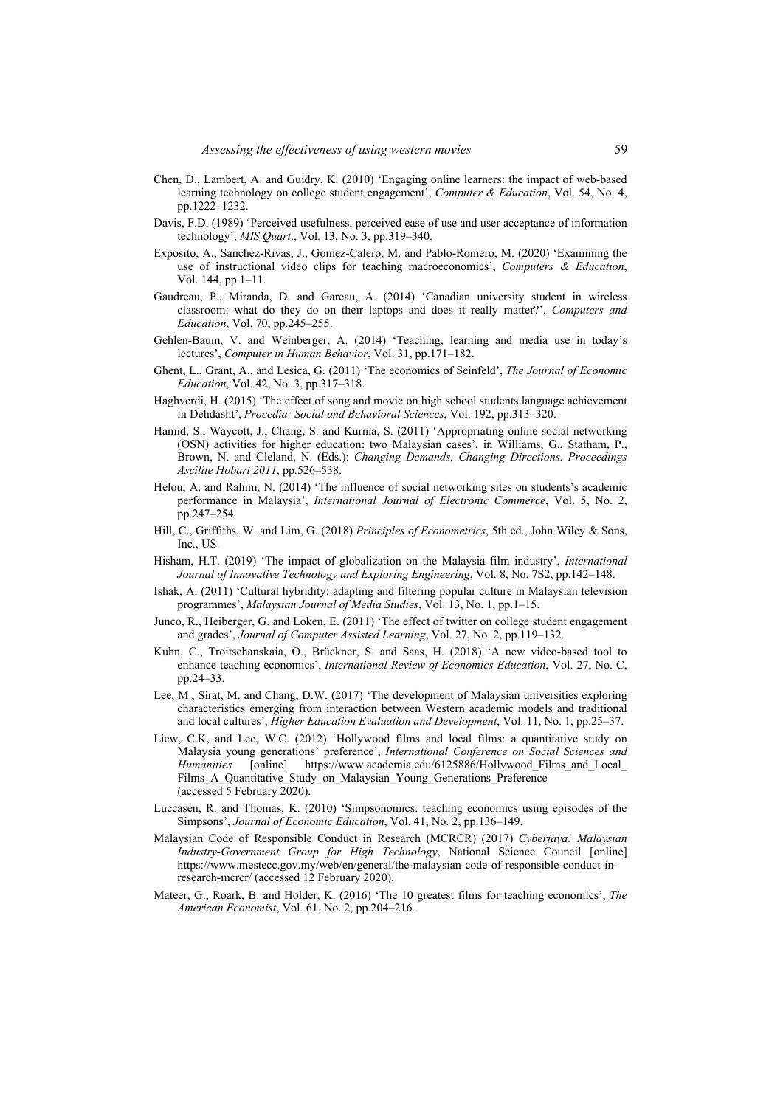- Chen, D., Lambert, A. and Guidry, K. (2010) 'Engaging online learners: the impact of web-based learning technology on college student engagement', *Computer & Education*, Vol. 54, No. 4, pp.1222–1232.
- Davis, F.D. (1989) 'Perceived usefulness, perceived ease of use and user acceptance of information technology', *MIS Quart*., Vol. 13, No. 3, pp.319–340.
- Exposito, A., Sanchez-Rivas, J., Gomez-Calero, M. and Pablo-Romero, M. (2020) 'Examining the use of instructional video clips for teaching macroeconomics', *Computers & Education*, Vol. 144, pp.1–11.
- Gaudreau, P., Miranda, D. and Gareau, A. (2014) 'Canadian university student in wireless classroom: what do they do on their laptops and does it really matter?', *Computers and Education*, Vol. 70, pp.245–255.
- Gehlen-Baum, V. and Weinberger, A. (2014) 'Teaching, learning and media use in today's lectures', *Computer in Human Behavior*, Vol. 31, pp.171–182.
- Ghent, L., Grant, A., and Lesica, G. (2011) 'The economics of Seinfeld', *The Journal of Economic Education*, Vol. 42, No. 3, pp.317–318.
- Haghverdi, H. (2015) 'The effect of song and movie on high school students language achievement in Dehdasht', *Procedia: Social and Behavioral Sciences*, Vol. 192, pp.313–320.
- Hamid, S., Waycott, J., Chang, S. and Kurnia, S. (2011) 'Appropriating online social networking (OSN) activities for higher education: two Malaysian cases', in Williams, G., Statham, P., Brown, N. and Cleland, N. (Eds.): *Changing Demands, Changing Directions. Proceedings Ascilite Hobart 2011*, pp.526–538.
- Helou, A. and Rahim, N. (2014) 'The influence of social networking sites on students's academic performance in Malaysia', *International Journal of Electronic Commerce*, Vol. 5, No. 2, pp.247–254.
- Hill, C., Griffiths, W. and Lim, G. (2018) *Principles of Econometrics*, 5th ed., John Wiley & Sons, Inc., US.
- Hisham, H.T. (2019) 'The impact of globalization on the Malaysia film industry', *International Journal of Innovative Technology and Exploring Engineering*, Vol. 8, No. 7S2, pp.142–148.
- Ishak, A. (2011) 'Cultural hybridity: adapting and filtering popular culture in Malaysian television programmes', *Malaysian Journal of Media Studies*, Vol. 13, No. 1, pp.1–15.
- Junco, R., Heiberger, G. and Loken, E. (2011) 'The effect of twitter on college student engagement and grades', *Journal of Computer Assisted Learning*, Vol. 27, No. 2, pp.119–132.
- Kuhn, C., Troitschanskaia, O., Brückner, S. and Saas, H. (2018) 'A new video-based tool to enhance teaching economics', *International Review of Economics Education*, Vol. 27, No. C, pp.24–33.
- Lee, M., Sirat, M. and Chang, D.W. (2017) 'The development of Malaysian universities exploring characteristics emerging from interaction between Western academic models and traditional and local cultures', *Higher Education Evaluation and Development*, Vol. 11, No. 1, pp.25–37.
- Liew, C.K, and Lee, W.C. (2012) 'Hollywood films and local films: a quantitative study on Malaysia young generations' preference', *International Conference on Social Sciences and Humanities* [online] https://www.academia.edu/6125886/Hollywood\_Films\_and\_Local\_ Films\_A\_Quantitative\_Study\_on\_Malaysian\_Young\_Generations\_Preference (accessed 5 February 2020).
- Luccasen, R. and Thomas, K. (2010) 'Simpsonomics: teaching economics using episodes of the Simpsons', *Journal of Economic Education*, Vol. 41, No. 2, pp.136–149.
- Malaysian Code of Responsible Conduct in Research (MCRCR) (2017) *Cyberjaya: Malaysian Industry-Government Group for High Technology*, National Science Council [online] https://www.mestecc.gov.my/web/en/general/the-malaysian-code-of-responsible-conduct-inresearch-mcrcr/ (accessed 12 February 2020).
- Mateer, G., Roark, B. and Holder, K. (2016) 'The 10 greatest films for teaching economics', *The American Economist*, Vol. 61, No. 2, pp.204–216.